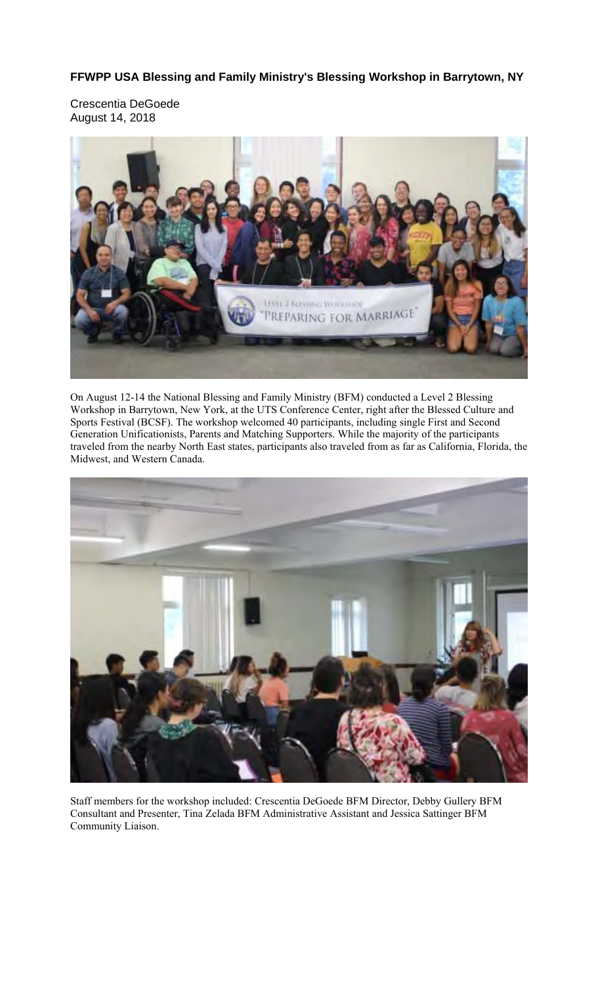**FFWPP USA Blessing and Family Ministry's Blessing Workshop in Barrytown, NY** 

Crescentia DeGoede August 14, 2018



On August 12-14 the National Blessing and Family Ministry (BFM) conducted a Level 2 Blessing Workshop in Barrytown, New York, at the UTS Conference Center, right after the Blessed Culture and Sports Festival (BCSF). The workshop welcomed 40 participants, including single First and Second Generation Unificationists, Parents and Matching Supporters. While the majority of the participants traveled from the nearby North East states, participants also traveled from as far as California, Florida, the Midwest, and Western Canada.



Staff members for the workshop included: Crescentia DeGoede BFM Director, Debby Gullery BFM Consultant and Presenter, Tina Zelada BFM Administrative Assistant and Jessica Sattinger BFM Community Liaison.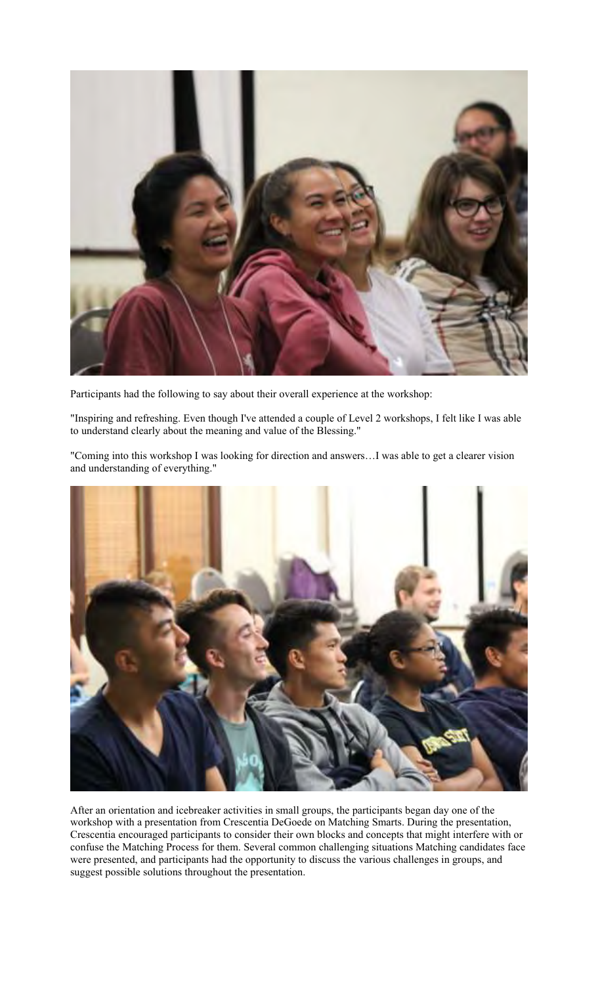

Participants had the following to say about their overall experience at the workshop:

"Inspiring and refreshing. Even though I've attended a couple of Level 2 workshops, I felt like I was able to understand clearly about the meaning and value of the Blessing."

"Coming into this workshop I was looking for direction and answers…I was able to get a clearer vision and understanding of everything."



After an orientation and icebreaker activities in small groups, the participants began day one of the workshop with a presentation from Crescentia DeGoede on Matching Smarts. During the presentation, Crescentia encouraged participants to consider their own blocks and concepts that might interfere with or confuse the Matching Process for them. Several common challenging situations Matching candidates face were presented, and participants had the opportunity to discuss the various challenges in groups, and suggest possible solutions throughout the presentation.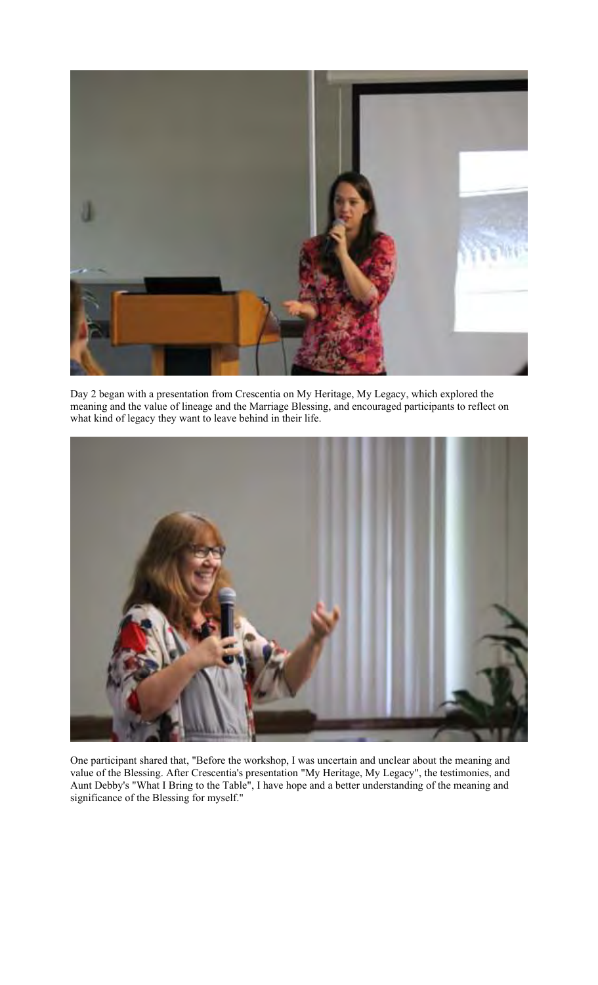

Day 2 began with a presentation from Crescentia on My Heritage, My Legacy, which explored the meaning and the value of lineage and the Marriage Blessing, and encouraged participants to reflect on what kind of legacy they want to leave behind in their life.



One participant shared that, "Before the workshop, I was uncertain and unclear about the meaning and value of the Blessing. After Crescentia's presentation "My Heritage, My Legacy", the testimonies, and Aunt Debby's "What I Bring to the Table", I have hope and a better understanding of the meaning and significance of the Blessing for myself."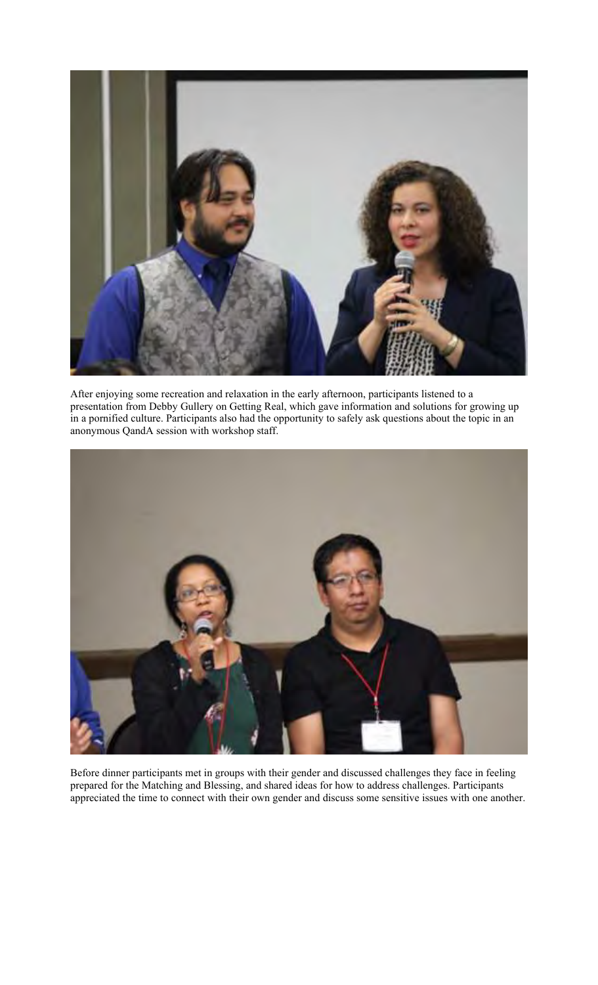

After enjoying some recreation and relaxation in the early afternoon, participants listened to a presentation from Debby Gullery on Getting Real, which gave information and solutions for growing up in a pornified culture. Participants also had the opportunity to safely ask questions about the topic in an anonymous QandA session with workshop staff.



Before dinner participants met in groups with their gender and discussed challenges they face in feeling prepared for the Matching and Blessing, and shared ideas for how to address challenges. Participants appreciated the time to connect with their own gender and discuss some sensitive issues with one another.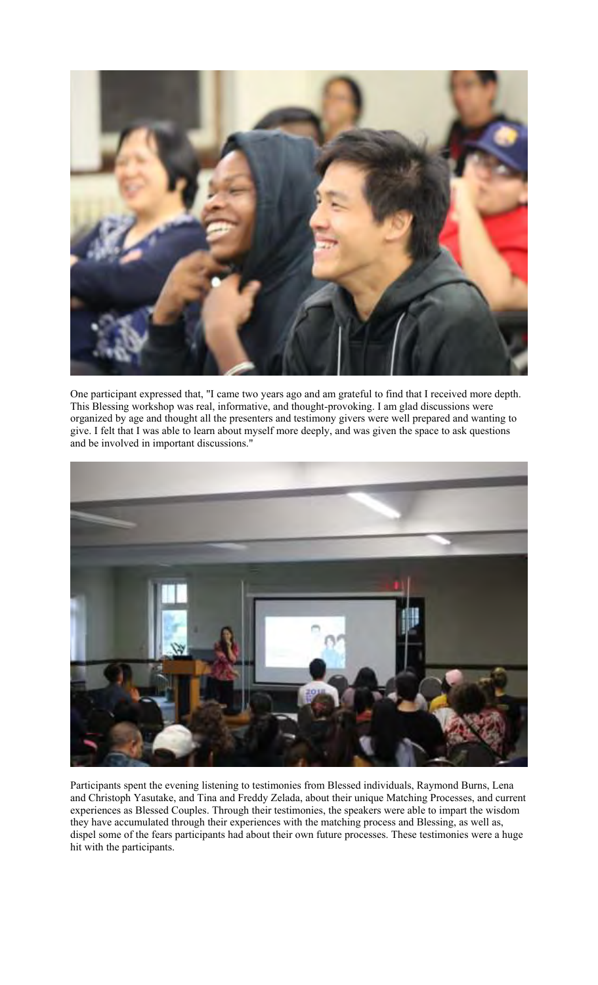

One participant expressed that, "I came two years ago and am grateful to find that I received more depth. This Blessing workshop was real, informative, and thought-provoking. I am glad discussions were organized by age and thought all the presenters and testimony givers were well prepared and wanting to give. I felt that I was able to learn about myself more deeply, and was given the space to ask questions and be involved in important discussions."



Participants spent the evening listening to testimonies from Blessed individuals, Raymond Burns, Lena and Christoph Yasutake, and Tina and Freddy Zelada, about their unique Matching Processes, and current experiences as Blessed Couples. Through their testimonies, the speakers were able to impart the wisdom they have accumulated through their experiences with the matching process and Blessing, as well as, dispel some of the fears participants had about their own future processes. These testimonies were a huge hit with the participants.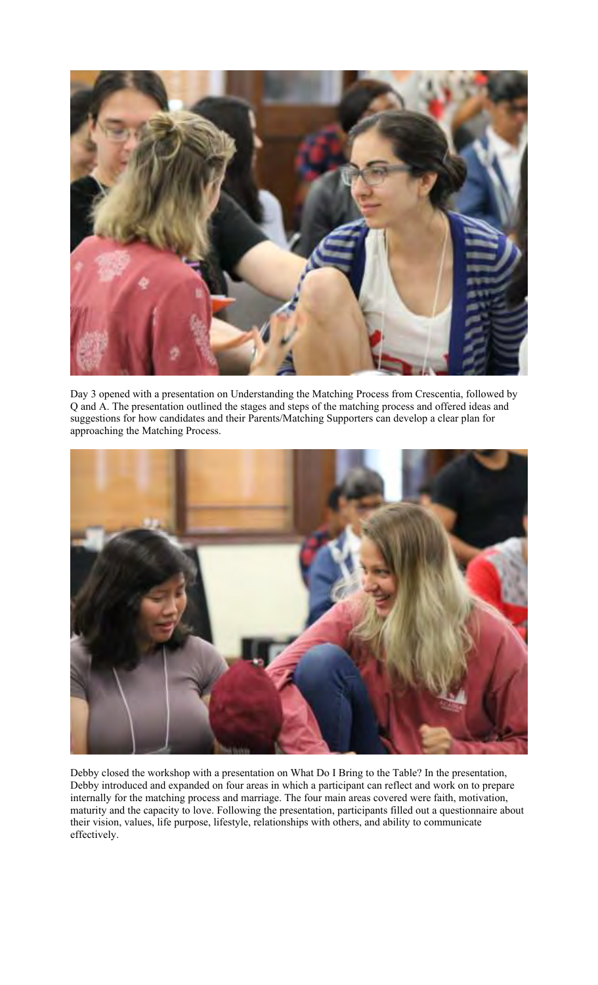

Day 3 opened with a presentation on Understanding the Matching Process from Crescentia, followed by Q and A. The presentation outlined the stages and steps of the matching process and offered ideas and suggestions for how candidates and their Parents/Matching Supporters can develop a clear plan for approaching the Matching Process.



Debby closed the workshop with a presentation on What Do I Bring to the Table? In the presentation, Debby introduced and expanded on four areas in which a participant can reflect and work on to prepare internally for the matching process and marriage. The four main areas covered were faith, motivation, maturity and the capacity to love. Following the presentation, participants filled out a questionnaire about their vision, values, life purpose, lifestyle, relationships with others, and ability to communicate effectively.